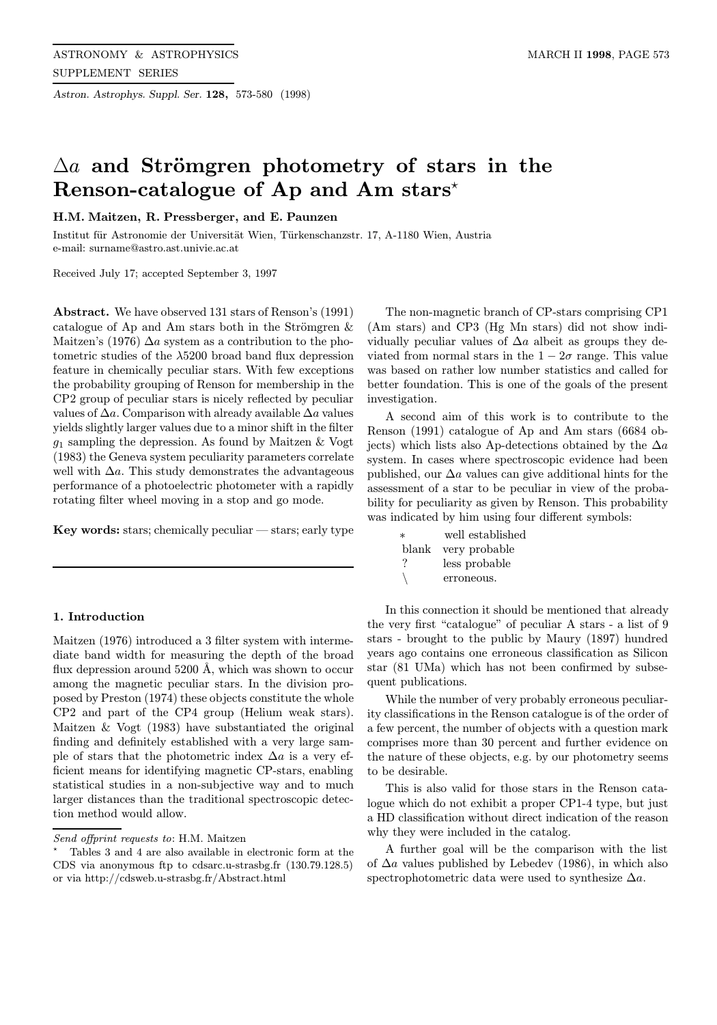Astron. Astrophys. Suppl. Ser. 128, 573-580 (1998)

# $\Delta a$  and Strömgren photometry of stars in the Renson-catalogue of Ap and Am stars\*

# H.M. Maitzen, R. Pressberger, and E. Paunzen

Institut für Astronomie der Universität Wien, Türkenschanzstr. 17, A-1180 Wien, Austria e-mail: surname@astro.ast.univie.ac.at

Received July 17; accepted September 3, 1997

Abstract. We have observed 131 stars of Renson's (1991) catalogue of Ap and Am stars both in the Strömgren  $\&$ Maitzen's (1976)  $\Delta a$  system as a contribution to the photometric studies of the  $\lambda$ 5200 broad band flux depression feature in chemically peculiar stars. With few exceptions the probability grouping of Renson for membership in the CP2 group of peculiar stars is nicely reflected by peculiar values of  $\Delta a$ . Comparison with already available  $\Delta a$  values yields slightly larger values due to a minor shift in the filter  $g_1$  sampling the depression. As found by Maitzen & Vogt (1983) the Geneva system peculiarity parameters correlate well with  $\Delta a$ . This study demonstrates the advantageous performance of a photoelectric photometer with a rapidly rotating filter wheel moving in a stop and go mode.

Key words: stars; chemically peculiar  $-$  stars; early type

## 1. Introduction

Maitzen (1976) introduced a 3 filter system with intermediate band width for measuring the depth of the broad flux depression around  $5200 \text{ Å}$ , which was shown to occur among the magnetic peculiar stars. In the division proposed by Preston (1974) these objects constitute the whole CP2 and part of the CP4 group (Helium weak stars). Maitzen & Vogt (1983) have substantiated the original finding and definitely established with a very large sample of stars that the photometric index  $\Delta a$  is a very efficient means for identifying magnetic CP-stars, enabling statistical studies in a non-subjective way and to much larger distances than the traditional spectroscopic detection method would allow.

The non-magnetic branch of CP-stars comprising CP1 (Am stars) and CP3 (Hg Mn stars) did not show individually peculiar values of  $\Delta a$  albeit as groups they deviated from normal stars in the  $1 - 2\sigma$  range. This value was based on rather low number statistics and called for better foundation. This is one of the goals of the present investigation.

A second aim of this work is to contribute to the Renson (1991) catalogue of Ap and Am stars (6684 objects) which lists also Ap-detections obtained by the  $\Delta a$ system. In cases where spectroscopic evidence had been published, our  $\Delta a$  values can give additional hints for the assessment of a star to be peculiar in view of the probability for peculiarity as given by Renson. This probability was indicated by him using four different symbols:

| $\ast$ | well established    |
|--------|---------------------|
|        | blank very probable |
| ?      | less probable       |
|        | erroneous.          |

In this connection it should be mentioned that already the very first "catalogue" of peculiar A stars - a list of 9 stars - brought to the public by Maury (1897) hundred years ago contains one erroneous classification as Silicon star (81 UMa) which has not been confirmed by subsequent publications.

While the number of very probably erroneous peculiarity classifications in the Renson catalogue is of the order of a few percent, the number of objects with a question mark comprises more than 30 percent and further evidence on the nature of these objects, e.g. by our photometry seems to be desirable.

This is also valid for those stars in the Renson catalogue which do not exhibit a proper CP1-4 type, but just a HD classification without direct indication of the reason why they were included in the catalog.

A further goal will be the comparison with the list of  $\Delta a$  values published by Lebedev (1986), in which also spectrophotometric data were used to synthesize  $\Delta a$ .

Send offprint requests to: H.M. Maitzen

<sup>?</sup> Tables 3 and 4 are also available in electronic form at the CDS via anonymous ftp to cdsarc.u-strasbg.fr (130.79.128.5) or via http://cdsweb.u-strasbg.fr/Abstract.html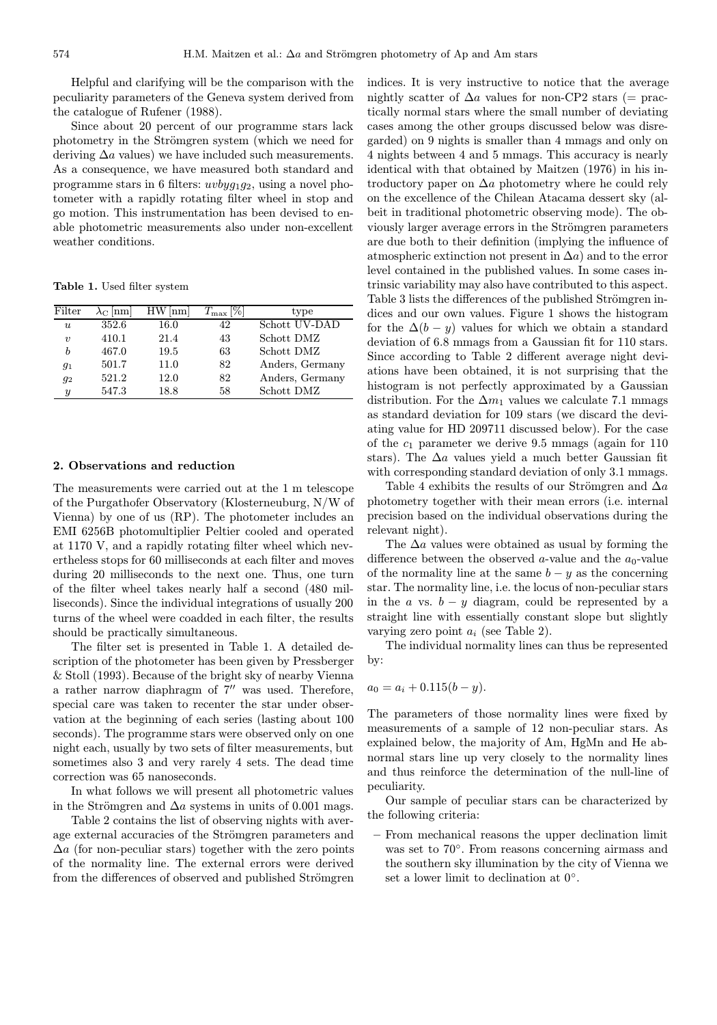Helpful and clarifying will be the comparison with the peculiarity parameters of the Geneva system derived from the catalogue of Rufener (1988).

Since about 20 percent of our programme stars lack photometry in the Strömgren system (which we need for deriving  $\Delta a$  values) we have included such measurements. As a consequence, we have measured both standard and programme stars in 6 filters:  $uvbyq_1q_2$ , using a novel photometer with a rapidly rotating filter wheel in stop and go motion. This instrumentation has been devised to enable photometric measurements also under non-excellent weather conditions.

Table 1. Used filter system

| Filter              | $\lambda_{\rm C}$  nm | $HW$  nm | $T_{\rm max}$ [%] | type            |
|---------------------|-----------------------|----------|-------------------|-----------------|
| $\mathbf{u}$        | 352.6                 | 16.0     | 42                | Schott UV-DAD   |
| $\boldsymbol{\eta}$ | 410.1                 | 21.4     | 43                | Schott DMZ      |
| h                   | 467.0                 | 19.5     | 63                | Schott DMZ      |
| $g_1$               | 501.7                 | 11.0     | 82                | Anders, Germany |
| $g_2$               | 521.2                 | 12.0     | 82                | Anders, Germany |
| $\boldsymbol{y}$    | 547.3                 | 18.8     | 58                | Schott DMZ      |

#### 2. Observations and reduction

The measurements were carried out at the 1 m telescope of the Purgathofer Observatory (Klosterneuburg, N/W of Vienna) by one of us (RP). The photometer includes an EMI 6256B photomultiplier Peltier cooled and operated at 1170 V, and a rapidly rotating filter wheel which nevertheless stops for 60 milliseconds at each filter and moves during 20 milliseconds to the next one. Thus, one turn of the filter wheel takes nearly half a second (480 milliseconds). Since the individual integrations of usually 200 turns of the wheel were coadded in each filter, the results should be practically simultaneous.

The filter set is presented in Table 1. A detailed description of the photometer has been given by Pressberger & Stoll (1993). Because of the bright sky of nearby Vienna a rather narrow diaphragm of  $7^{\prime\prime}$  was used. Therefore, special care was taken to recenter the star under observation at the beginning of each series (lasting about 100 seconds). The programme stars were observed only on one night each, usually by two sets of filter measurements, but sometimes also 3 and very rarely 4 sets. The dead time correction was 65 nanoseconds.

In what follows we will present all photometric values in the Strömgren and  $\Delta a$  systems in units of 0.001 mags.

Table 2 contains the list of observing nights with average external accuracies of the Strömgren parameters and  $\Delta a$  (for non-peculiar stars) together with the zero points of the normality line. The external errors were derived from the differences of observed and published Strömgren

indices. It is very instructive to notice that the average nightly scatter of  $\Delta a$  values for non-CP2 stars (= practically normal stars where the small number of deviating cases among the other groups discussed below was disregarded) on 9 nights is smaller than 4 mmags and only on 4 nights between 4 and 5 mmags. This accuracy is nearly identical with that obtained by Maitzen (1976) in his introductory paper on  $\Delta a$  photometry where he could rely on the excellence of the Chilean Atacama dessert sky (albeit in traditional photometric observing mode). The obviously larger average errors in the Strömgren parameters are due both to their definition (implying the influence of atmospheric extinction not present in  $\Delta a$ ) and to the error level contained in the published values. In some cases intrinsic variability may also have contributed to this aspect. Table 3 lists the differences of the published Strömgren indices and our own values. Figure 1 shows the histogram for the  $\Delta(b - y)$  values for which we obtain a standard deviation of 6.8 mmags from a Gaussian fit for 110 stars. Since according to Table 2 different average night deviations have been obtained, it is not surprising that the histogram is not perfectly approximated by a Gaussian distribution. For the  $\Delta m_1$  values we calculate 7.1 mmags as standard deviation for 109 stars (we discard the deviating value for HD 209711 discussed below). For the case of the  $c_1$  parameter we derive 9.5 mmags (again for 110) stars). The  $\Delta a$  values yield a much better Gaussian fit with corresponding standard deviation of only 3.1 mmags.

Table 4 exhibits the results of our Strömgren and  $\Delta a$ photometry together with their mean errors (i.e. internal precision based on the individual observations during the relevant night).

The  $\Delta a$  values were obtained as usual by forming the difference between the observed a-value and the  $a_0$ -value of the normality line at the same  $b - y$  as the concerning star. The normality line, i.e. the locus of non-peculiar stars in the a vs.  $b - y$  diagram, could be represented by a straight line with essentially constant slope but slightly varying zero point  $a_i$  (see Table 2).

The individual normality lines can thus be represented by:

$$
a_0 = a_i + 0.115(b - y).
$$

The parameters of those normality lines were fixed by measurements of a sample of 12 non-peculiar stars. As explained below, the majority of Am, HgMn and He abnormal stars line up very closely to the normality lines and thus reinforce the determination of the null-line of peculiarity.

Our sample of peculiar stars can be characterized by the following criteria:

– From mechanical reasons the upper declination limit was set to 70◦. From reasons concerning airmass and the southern sky illumination by the city of Vienna we set a lower limit to declination at 0◦.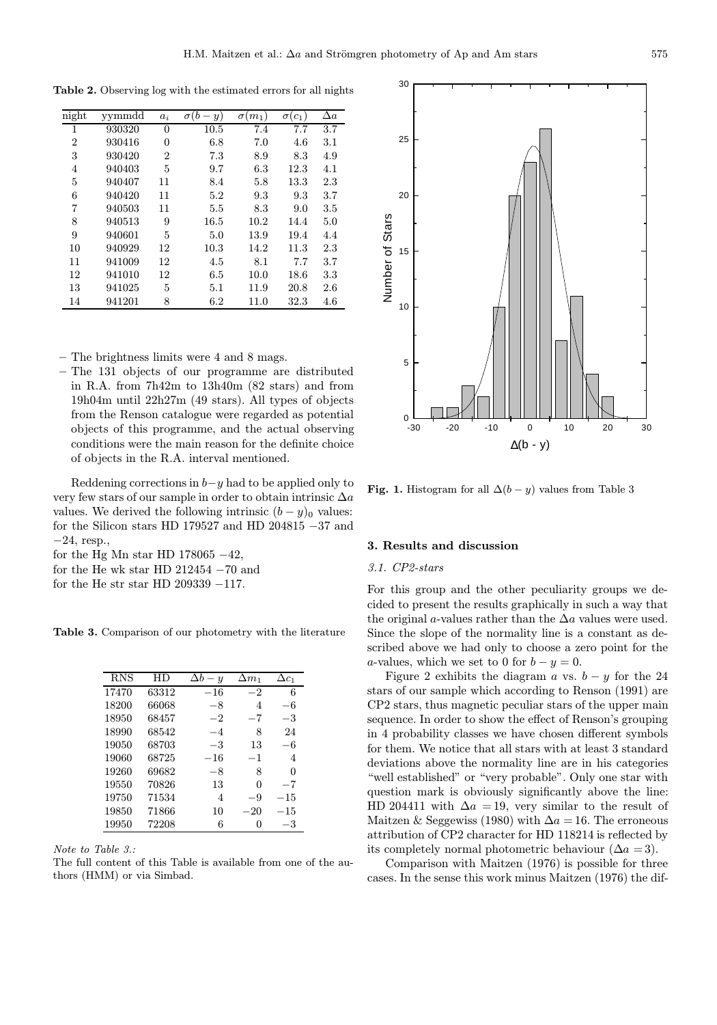Table 2. Observing log with the estimated errors for all nights

| night          | yymmdd | $a_i$          | $\sigma(b)$<br>y) | $\sigma(m_1)$ | $\sigma(c_1)$ | $\Delta a$ |
|----------------|--------|----------------|-------------------|---------------|---------------|------------|
|                |        |                |                   |               |               |            |
| 1              | 930320 | $\Omega$       | 10.5              | 7.4           | 7.7           | $3.7\,$    |
| $\overline{2}$ | 930416 | 0              | 6.8               | 7.0           | 4.6           | 3.1        |
| 3              | 930420 | $\overline{2}$ | 7.3               | 8.9           | 8.3           | 4.9        |
| $\overline{4}$ | 940403 | 5              | 9.7               | 6.3           | 12.3          | 4.1        |
| 5              | 940407 | 11             | 8.4               | 5.8           | 13.3          | 2.3        |
| 6              | 940420 | 11             | 5.2               | 9.3           | 9.3           | 3.7        |
| 7              | 940503 | 11             | 5.5               | 8.3           | 9.0           | 3.5        |
| 8              | 940513 | 9              | 16.5              | 10.2          | 14.4          | 5.0        |
| 9              | 940601 | 5              | 5.0               | 13.9          | 19.4          | 4.4        |
| 10             | 940929 | 12             | 10.3              | 14.2          | 11.3          | 2.3        |
| 11             | 941009 | 12             | 4.5               | 8.1           | 7.7           | 3.7        |
| 12             | 941010 | 12             | 6.5               | 10.0          | 18.6          | $3.3\,$    |
| 13             | 941025 | 5              | 5.1               | 11.9          | 20.8          | 2.6        |
| 14             | 941201 | 8              | 6.2               | 11.0          | 32.3          | 4.6        |

– The brightness limits were 4 and 8 mags.

– The 131 objects of our programme are distributed in R.A. from 7h42m to 13h40m (82 stars) and from 19h04m until 22h27m (49 stars). All types of objects from the Renson catalogue were regarded as potential objects of this programme, and the actual observing conditions were the main reason for the definite choice of objects in the R.A. interval mentioned.

Reddening corrections in  $b-y$  had to be applied only to very few stars of our sample in order to obtain intrinsic  $\Delta a$ values. We derived the following intrinsic  $(b - y)_0$  values: for the Silicon stars HD 179527 and HD 204815 −37 and −24, resp.,

- for the Hg Mn star HD 178065  $-42$ ,
- for the He wk star HD  $212454 70$  and

for the He str star HD 209339 −117.

Table 3. Comparison of our photometry with the literature

| <b>RNS</b> | НD    | $\Delta b$<br>$-y$ | $\Delta m_1$ | $\Delta c_1$ |
|------------|-------|--------------------|--------------|--------------|
| 17470      | 63312 | $-16$              | $-2$         | 6            |
| 18200      | 66068 | $-8$               | 4            | -6           |
| 18950      | 68457 | $-2$               | $-7$         | $-3$         |
| 18990      | 68542 | $-4$               | 8            | 24           |
| 19050      | 68703 | $-3$               | 13           | -6           |
| 19060      | 68725 | $-16$              | $-1$         | 4            |
| 19260      | 69682 | $-8$               | 8            | 0            |
| 19550      | 70826 | 13                 | 0            | $-7$         |
| 19750      | 71534 | 4                  | -9           | $-15$        |
| 19850      | 71866 | 10                 | $-20$        | $-15$        |
| 19950      | 72208 | 6                  | 0            | $-3$         |

Note to Table 3.:

The full content of this Table is available from one of the authors (HMM) or via Simbad.



Fig. 1. Histogram for all  $\Delta(b - y)$  values from Table 3

#### 3. Results and discussion

#### 3.1. CP2-stars

For this group and the other peculiarity groups we decided to present the results graphically in such a way that the original a-values rather than the  $\Delta a$  values were used. Since the slope of the normality line is a constant as described above we had only to choose a zero point for the a-values, which we set to 0 for  $b - y = 0$ .

Figure 2 exhibits the diagram a vs.  $b - y$  for the 24 stars of our sample which according to Renson (1991) are CP2 stars, thus magnetic peculiar stars of the upper main sequence. In order to show the effect of Renson's grouping in 4 probability classes we have chosen different symbols for them. We notice that all stars with at least 3 standard deviations above the normality line are in his categories "well established" or "very probable". Only one star with question mark is obviously significantly above the line: HD 204411 with  $\Delta a = 19$ , very similar to the result of Maitzen & Seggewiss (1980) with  $\Delta a = 16$ . The erroneous attribution of CP2 character for HD 118214 is reflected by its completely normal photometric behaviour ( $\Delta a = 3$ ).

Comparison with Maitzen (1976) is possible for three cases. In the sense this work minus Maitzen (1976) the dif-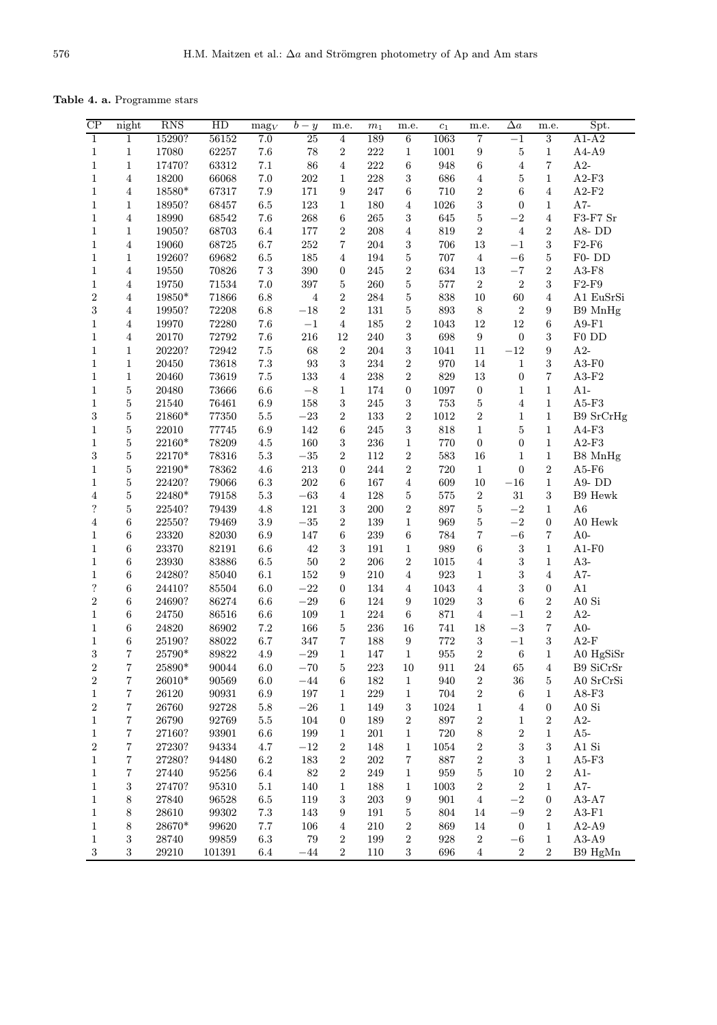Table 4. a. Programme stars

| $\overline{CP}$  | night                     | <b>RNS</b>     | HD             | $\text{mag}_V$ | $\overline{b}-y$  | m.e.                    | $m_1$     | m.e.                    | $\mathfrak{c}_1$ | m.e.                    | $\Delta a$              | m.e.                         | Spt.                        |
|------------------|---------------------------|----------------|----------------|----------------|-------------------|-------------------------|-----------|-------------------------|------------------|-------------------------|-------------------------|------------------------------|-----------------------------|
| $\mathbf{1}$     | $\mathbf{1}$              | 15290?         | 56152          | 7.0            | 25                | $\overline{4}$          | 189       | 6                       | 1063             | 7                       | $-1$                    | $\overline{3}$               | $A1-A2$                     |
| $\mathbf{1}$     | $\mathbf{1}$              | 17080          | $62257\,$      | $7.6\,$        | 78                | $\,2$                   | 222       | $\mathbf{1}$            | 1001             | $\boldsymbol{9}$        | $\bf 5$                 | $\mathbf{1}$                 | $A4-A9$                     |
| $\mathbf{1}$     | $\mathbf{1}$              | 17470?         | 63312          | $7.1\,$        | $86\,$            | $\boldsymbol{4}$        | 222       | 6                       | 948              | $\,6\,$                 | $\,4\,$                 | $\overline{7}$               | $A2-$                       |
| $\mathbf{1}$     | $\overline{4}$            | 18200          | 66068          | $7.0\,$        | $202\,$           | $\mathbf{1}$            | 228       | 3                       | 686              | 4                       | $\bf 5$                 | $\mathbf{1}$                 | $A2-F3$                     |
| $\mathbf{1}$     | $\,4\,$                   | $18580^{\ast}$ | 67317          | $7.9\,$        | 171               | $\boldsymbol{9}$        | 247       | 6                       | 710              | $\overline{2}$          | $\,6\,$                 | $\overline{4}$               | $A2-F2$                     |
| $\mathbf{1}$     | $\mathbf{1}$              | 18950?         | 68457          | $6.5\,$        | $123\,$           | $1\,$                   | 180       | 4                       | 1026             | 3                       | $\boldsymbol{0}$        | $\mathbf{1}$                 | $A7-$                       |
| $\,1$            | $\,4\,$                   | 18990          | 68542          | $7.6\,$        | 268               | $\,6$                   | $265\,$   | 3                       | 645              | $\bf 5$                 | $-{\bf 2}$              | $\overline{4}$               | $\rm F3\text{-}F7$ $\rm Sr$ |
| $\mathbf{1}$     | $\mathbf{1}$              | 19050?         | 68703          | $6.4\,$        | 177               | $\overline{2}$          | 208       | $\overline{4}$          | 819              | $\,2$                   | $\,4\,$                 | $\overline{2}$               | A8-DD                       |
| $\mathbf{1}$     | $\,4\,$                   | 19060          | 68725          | $6.7\,$        | $252\,$           | $\,7$                   | $\,204$   | 3                       | 706              | $13\,$                  | $-1$                    | 3                            | $\rm F2\text{-}F6$          |
| $\mathbf{1}$     | $\mathbf{1}$              | 19260?         | 69682          | $6.5\,$        | 185               | $\overline{4}$          | 194       | $\bf 5$                 | 707              | $\overline{4}$          | $-6\,$                  | 5                            | ${\rm F0}\text{-}$ DD       |
| $\mathbf{1}$     | $\bf 4$                   | 19550          | 70826          | $7\ 3$         | 390               | $\overline{0}$          | $245\,$   | $\,2$                   | 634              | $13\,$                  | $-7$                    | $\overline{2}$               | $A3-F8$                     |
| $\mathbf 1$      | $\bf 4$                   | 19750          | $71534\,$      | $7.0\,$        | 397               | $\bf 5$                 | $260\,$   | $\bf 5$                 | 577              | $\,2$                   | $\overline{2}$          | 3                            | $F2-F9$                     |
| $\,2$            | $\,4\,$                   | $19850*$       | 71866          | $6.8\,$        | $\,4\,$           | $\overline{2}$          | $\bf 284$ | $\bf 5$                 | 838              | $10\,$                  | $60\,$                  | $\overline{4}$               | A1 EuSrSi                   |
| $\sqrt{3}$       | $\,4\,$                   | 19950?         | 72208          | $6.8\,$        | $-18\,$           | $\overline{2}$          | $131\,$   | $\bf 5$                 | 893              | $\,8\,$                 | $\overline{2}$          | 9                            | B9 MnHg                     |
| $\mathbf{1}$     | $\,4\,$                   | 19970          | 72280          | $7.6\,$        | $-1\,$            | $\overline{4}$          | 185       | $\,2$                   | 1043             | $12\,$                  | $12\,$                  | $\,6$                        | $A9-F1$                     |
| $\mathbf{1}$     | 4                         | 20170          | 72792          | 7.6            | 216               | 12                      | 240       | 3                       | 698              | $\boldsymbol{9}$        | $\boldsymbol{0}$        | 3                            | F0 DD                       |
| $\mathbf{1}$     | $\mathbf{1}$              | 20220?         | 72942          | $7.5\,$        | $68\,$            | $\,2$                   | 204       | $\,3$                   | 1041             | $11\,$                  | $-12\,$                 | $\boldsymbol{9}$             | $A2-$                       |
| $\mathbf{1}$     | $\mathbf{1}$              | 20450          | 73618          | $7.3\,$        | $\boldsymbol{93}$ | $\sqrt{3}$              | $\bf 234$ | $\,2$                   | 970              | $14\,$                  | $\,1\,$                 | 3                            | $A3-F0$                     |
| $\mathbf{1}$     | $\mathbf{1}$              | 20460          | 73619          | $7.5\,$        | 133               | $\boldsymbol{4}$        | 238       | $\overline{2}$          | 829              | $13\,$                  | $\boldsymbol{0}$        | $\overline{7}$               | $A3-F2$                     |
| $\mathbf{1}$     | $\bf 5$                   | 20480          | 73666          | $6.6\,$        | $-8\,$            | $\mathbf{1}$            | 174       | $\boldsymbol{0}$        | 1097             | $\boldsymbol{0}$        | $\mathbf{1}$            | $\mathbf{1}$                 | $A1-$                       |
| $\mathbf{1}$     |                           | 21540          | 76461          | $6.9\,$        | 158               | $\,3$                   | $245\,$   |                         | 753              | $\bf 5$                 | $\,4\,$                 | $\mathbf{1}$                 | $A5-F3$                     |
| $\sqrt{3}$       | $\bf 5$<br>$\overline{5}$ | 21860*         |                | $5.5\,$        | $-23\,$           | $\sqrt{2}$              | 133       | 3<br>$\,2$              |                  |                         |                         | $\mathbf{1}$                 |                             |
|                  | $\bf 5$                   | 22010          | 77350<br>77745 |                | $142\,$           | $\,6$                   |           | $\,3$                   | 1012<br>818      | $\boldsymbol{2}$        | $\mathbf{1}$<br>$\bf 5$ |                              | B9 SrCrHg                   |
| $\mathbf{1}$     |                           |                |                | $6.9\,$        |                   |                         | $245\,$   |                         |                  | $\,1$                   |                         | $\mathbf{1}$<br>$\mathbf{1}$ | $A4-F3$                     |
| $\mathbf{1}$     | $\bf 5$                   | $22160*$       | 78209          | $4.5\,$        | 160               | $\,3$<br>$\overline{2}$ | 236       | $\,1$                   | 770              | $\boldsymbol{0}$        | $\boldsymbol{0}$        |                              | $A2-F3$                     |
| $\sqrt{3}$       | $\bf 5$                   | 22170*         | 78316          | $5.3\,$        | $-35\,$           |                         | 112       | $\sqrt{2}$              | 583              | 16                      | $\mathbf{1}$            | $\mathbf{1}$                 | B8 MnHg                     |
| $\mathbf{1}$     | $\bf 5$                   | $22190^{\ast}$ | 78362          | $4.6\,$        | $213\,$           | $\boldsymbol{0}$        | $\bf 244$ | $\overline{2}$          | 720              | $\,1\,$                 | $\boldsymbol{0}$        | $\overline{2}$               | $A5-F6$                     |
| $\mathbf{1}$     | $\bf 5$                   | 22420?         | 79066          | $6.3\,$        | $202\,$           | 6                       | 167       | 4                       | 609              | 10                      | $-16\,$                 | $\mathbf{1}$                 | A9-DD                       |
| $\sqrt{4}$       | $\bf 5$                   | $22480^{\ast}$ | 79158          | $5.3\,$        | $-63\,$           | $\overline{4}$          | 128       | 5                       | 575              | $\,2$                   | 31                      | 3                            | $\rm B9~\rm Hewk$           |
| $\ddot{?}$       | $\bf 5$                   | 22540?         | 79439          | $4.8\,$        | $121\,$           | $\,3$                   | $200\,$   | $\boldsymbol{2}$        | 897              | $\bf 5$                 | $-{\bf 2}$              | $\mathbf{1}$                 | ${\bf A6}$                  |
| $\sqrt{4}$       | $\,6$                     | 22550?         | 79469          | $\!.9$         | $-35\,$           | $\overline{2}$          | 139       | $\mathbf{1}$            | 969              | $\bf 5$                 | $-{\bf 2}$              | $\overline{0}$               | ${\rm A0~Hewk}$             |
| $\mathbf{1}$     | 6                         | 23320          | 82030          | $6.9\,$        | 147               | 6                       | 239       | 6                       | 784              | 7                       | $-6\,$                  | $\,7$                        | $A0-$                       |
| $\mathbf{1}$     | $\,6\,$                   | 23370          | 82191          | $6.6\,$        | 42                | $\sqrt{3}$              | 191       | $\,1$                   | 989              | $\,6\,$                 | $\sqrt{3}$              | $\mathbf{1}$                 | $A1-F0$                     |
| $\mathbf{1}$     | $6\phantom{.}6$           | 23930          | 83886          | $6.5\,$        | $50\,$            | $\overline{2}$          | 206       | $\,2$                   | 1015             | $\overline{4}$          | $\sqrt{3}$              | $\mathbf{1}$                 | $A3-$                       |
| $\mathbf{1}$     | 6                         | 24280?         | 85040          | $6.1\,$        | $152\,$           | $\boldsymbol{9}$        | $210\,$   | $\overline{\mathbf{4}}$ | 923              | $\mathbf{1}$            | $\sqrt{3}$              | $\overline{4}$               | $A7-$                       |
| $\ddot{?}$       | $\,6\,$                   | 24410?         | $85504\,$      | $6.0\,$        | $-22$             | $\boldsymbol{0}$        | 134       | $\overline{4}$          | 1043             | $\bf 4$                 | $\sqrt{3}$              | $\boldsymbol{0}$             | A1                          |
| $\,2$            | $\,6$                     | 24690?         | 86274          | $6.6\,$        | $-29\,$           | 6                       | 124       | $\boldsymbol{9}$        | $1029\,$         | 3                       | $\,6$                   | $\overline{2}$               | ${\rm A0~Si}$               |
| $\mathbf{1}$     | 6                         | $24750\,$      | 86516          | $6.6\,$        | 109               | $1\,$                   | 224       | $\,6\,$                 | $871\,$          | $\overline{\mathbf{4}}$ | $-1$                    | $\overline{2}$               | $A2-$                       |
| $\mathbf{1}$     | $\,6\,$                   | 24820          | 86902          | $7.2\,$        | 166               | $\bf 5$                 | 236       | 16                      | 741              | 18                      | $-3\,$                  | $\overline{7}$               | $A0-$                       |
| $\mathbf{1}$     | 6                         | 25190?         | 88022          | $6.7\,$        | 347               | $\,7$                   | 188       | 9                       | 772              | 3                       | $-1$                    | 3                            | $A2-F$                      |
| $\overline{3}$   | $\overline{7}$            | 25790*         | 89822          | $4.9\,$        | $-29\,$           | $\mathbf{1}$            | 147       | 1                       | 955              | $\overline{2}$          | $\,6\,$                 | 1                            | A0 HgSiSr                   |
| $\boldsymbol{2}$ | $\,7$                     | 25890*         | 90044          | $6.0\,$        | $-70\,$           | $\bf 5$                 | 223       | $10\,$                  | 911              | $24\,$                  | $65\,$                  | 4                            | B9 SiCrSr                   |
| $\boldsymbol{2}$ | $\overline{\mathbf{7}}$   | 26010*         | 90569          | $6.0\,$        | $-44\,$           | 6                       | 182       | $\mathbf{1}$            | 940              | $\overline{2}$          | $36\,$                  | 5                            | A0 SrCrSi                   |
| $\mathbf{1}$     | $\overline{7}$            | 26120          | 90931          | $6.9\,$        | $197\,$           | $\mathbf{1}$            | $229\,$   | $\mathbf{1}$            | $704\,$          | $\boldsymbol{2}$        | $\,6$                   | 1                            | $A8-F3$                     |
| $\boldsymbol{2}$ | $\overline{7}$            | 26760          | 92728          | $5.8\,$        | $-26$             | $\mathbf{1}$            | 149       | 3                       | 1024             | $\mathbf{1}$            | $\overline{4}$          | 0                            | A0 Si                       |
| $\mathbf{1}$     | 7                         | 26790          | 92769          | $5.5\,$        | 104               | 0                       | 189       | $\overline{\mathbf{2}}$ | 897              | $\overline{\mathbf{2}}$ | $\mathbf{1}$            | $\overline{2}$               | $A2-$                       |
| $\mathbf{1}$     | $\overline{7}$            | 27160?         | 93901          | $6.6\,$        | 199               | 1                       | 201       | $\mathbf{1}$            | $720\,$          | $8\,$                   | $\,2$                   | $\mathbf{1}$                 | $A5-$                       |
| $\boldsymbol{2}$ | $\overline{7}$            | 27230?         | 94334          | $4.7\,$        | $-12$             | $\,2$                   | 148       | $\mathbf{1}$            | 1054             | $\overline{\mathbf{2}}$ | 3                       | 3                            | $A1$ Si                     |
| $\mathbf{1}$     | $\,7$                     | 27280?         | 94480          | $6.2\,$        | 183               | $\,2$                   | 202       | 7                       | 887              | $\overline{\mathbf{2}}$ | $\sqrt{3}$              | 1                            | $A5-F3$                     |
| $\mathbf{1}$     | $\overline{7}$            | 27440          | 95256          | $6.4\,$        | $82\,$            | $\,2$                   | 249       | $\mathbf{1}$            | 959              | $\mathbf 5$             | $10\,$                  | $\overline{2}$               | $A1-$                       |
| $\mathbf{1}$     | 3                         | 27470?         | 95310          | $5.1\,$        | 140               | $\mathbf{1}$            | 188       | $\mathbf{1}$            | 1003             | 2                       | $\,2$                   | 1                            | $A7-$                       |
| $\mathbf{1}$     | $\,8\,$                   | 27840          | 96528          | $6.5\,$        | 119               | $\,3$                   | 203       | 9                       | $901\,$          | $\overline{\mathbf{4}}$ | $-{\bf 2}$              | $\boldsymbol{0}$             | $A3-A7$                     |
| $\mathbf{1}$     | $8\,$                     | 28610          | 99302          | $7.3\,$        | 143               | 9                       | 191       | $\bf 5$                 | $804\,$          | $14\,$                  | $-9\,$                  | $\overline{2}$               | $A3-F1$                     |
| $\mathbf{1}$     | $8\,$                     | 28670*         | 99620          | $7.7\,$        | 106               | $\overline{4}$          | 210       | $\boldsymbol{2}$        | 869              | $14\,$                  | $\boldsymbol{0}$        | $\mathbf{1}$                 | $A2-A9$                     |
| $\mathbf 1$      | $\sqrt{3}$                | 28740          | 99859          | $6.3\,$        | $79\,$            | $\,2$                   | 199       | $\overline{2}$          | 928              | $\boldsymbol{2}$        | $-6\,$                  | $\mathbf{1}$                 | $A3-A9$                     |
| 3                | $\sqrt{3}$                | 29210          | 101391         | $6.4\,$        | $-44\,$           | $\boldsymbol{2}$        | 110       | $\boldsymbol{3}$        | 696              | $\overline{\mathbf{4}}$ | $\sqrt{2}$              | $\boldsymbol{2}$             | B9 HgMn                     |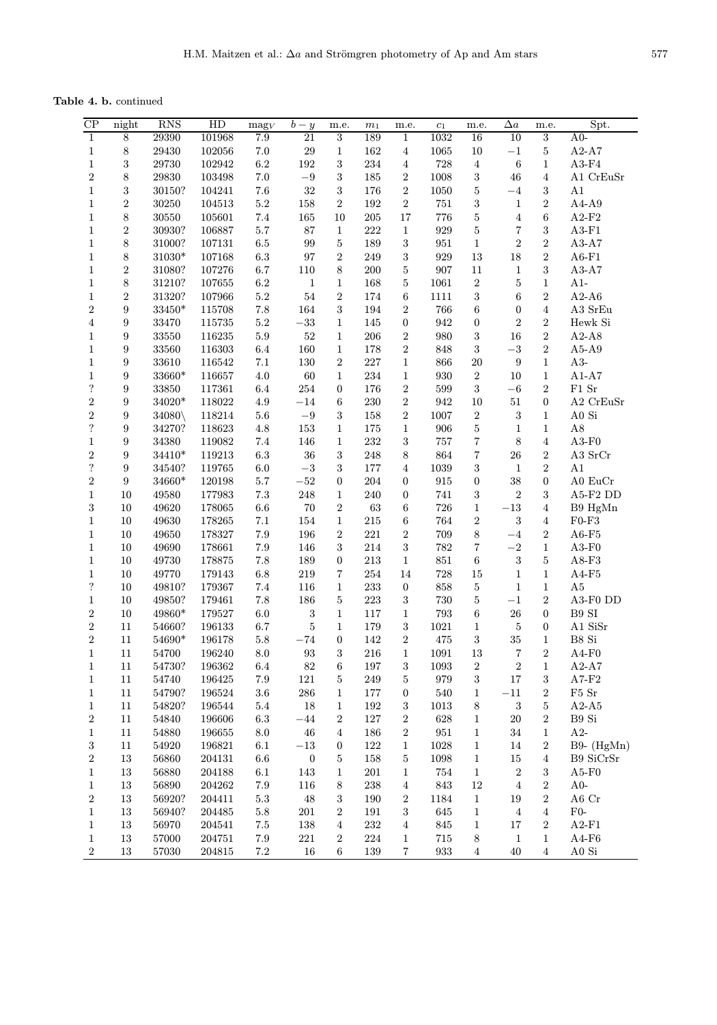Table 4. b. continued

| CP               | night            | <b>RNS</b>           | HD     | $\mathrm{mag}_V$ | $b - y$           | m.e.                    | m <sub>1</sub> | m.e.                    | $\mathfrak{c}_1$   | m.e.                    | $\Delta a$              | m.e.                    | Spt.                       |
|------------------|------------------|----------------------|--------|------------------|-------------------|-------------------------|----------------|-------------------------|--------------------|-------------------------|-------------------------|-------------------------|----------------------------|
| $\overline{1}$   | $\bf 8$          | 29390                | 101968 | 7.9              | 21                | 3                       | 189            | $\mathbf 1$             | 1032               | 16                      | 10                      | $\overline{3}$          | $A0-$                      |
| $\mathbf{1}$     | $\,8\,$          | $29430\,$            | 102056 | $7.0\,$          | $\,29$            | $\mathbf{1}$            | 162            | $\boldsymbol{4}$        | 1065               | 10                      | $-1$                    | $\bf 5$                 | $A2-A7$                    |
| $\mathbf{1}$     | $\sqrt{3}$       | $\boldsymbol{29730}$ | 102942 | $6.2\,$          | $192\,$           | 3                       | $\bf 234$      | $\,4\,$                 | 728                | $\,4\,$                 | $\,6\,$                 | $\mathbf{1}$            | $A3-F4$                    |
| $\overline{2}$   | $\,$ $\,$        | $\boldsymbol{29830}$ | 103498 | $7.0\,$          | $-9\,$            | 3                       | $185\,$        | $\,2$                   | 1008               | 3                       | $\sqrt{46}$             | $\bf 4$                 | A1 CrEuSr                  |
| $\mathbf{1}$     | $\sqrt{3}$       | 30150?               | 104241 | $7.6\,$          | $32\,$            | 3                       | 176            | $\overline{2}$          | $1050\,$           | $\overline{5}$          | $-4$                    | 3                       | A1                         |
| $\mathbf{1}$     | $\,2$            | 30250                | 104513 | $5.2\,$          | $158\,$           | $\overline{2}$          | 192            | $\overline{2}$          | 751                | 3                       | $\mathbf{1}$            | $\boldsymbol{2}$        | $\rm A4\text{-}A9$         |
| 1                | $\,$ $\,$        | $30550\,$            | 105601 | $7.4\,$          | $165\,$           | 10                      | $205\,$        | 17                      | 776                | $\mathbf 5$             | $\overline{4}$          | 6                       | $A2-F2$                    |
| $\mathbf 1$      | $\,2$            | 30930?               | 106887 | 5.7              | $87\,$            | $\mathbf 1$             | 222            | $\,1$                   | 929                | $\overline{5}$          | $\scriptstyle{7}$       | $\,3$                   | $A3-F1$                    |
| 1                | $8\,$            | 31000?               | 107131 | 6.5              | 99                | $\mathbf 5$             | 189            | $\,3$                   | $951\,$            | $\,1\,$                 | $\,2$                   | $\,2$                   | $A3-A7$                    |
| $\mathbf 1$      | $\,$ $\,$        | $31030^{\ast}$       | 107168 | $6.3\,$          | $\rm 97$          | $\overline{2}$          | 249            | $\,3$                   | $929\,$            | $13\,$                  | 18                      | $\overline{2}$          | $A6-F1$                    |
| $\mathbf{1}$     | $\,2$            | 31080?               | 107276 | 6.7              | $110\,$           | $\,8\,$                 | $200\,$        | $\bf 5$                 | 907                | $11\,$                  | $\mathbf 1$             | $\,3$                   | $A3-A7$                    |
| 1                | $\,$ $\,$        | 31210?               | 107655 | $6.2\,$          | $\,1\,$           | $\mathbf{1}$            | 168            | $\bf 5$                 | 1061               | $\,2$                   | $\bf 5$                 | $\mathbf{1}$            | $A1-$                      |
| 1                | $\,2$            | 31320?               | 107966 | $5.2\,$          | $54\,$            | $\overline{2}$          | 174            | $\,6$                   | 1111               | 3                       | $\,6$                   | $\overline{2}$          | $A2-A6$                    |
| $\overline{2}$   | $\boldsymbol{9}$ | $33450^{\ast}$       | 115708 | $7.8\,$          | $164\,$           | 3                       | 194            | $\,2$                   | 766                | 6                       | $\boldsymbol{0}$        | $\bf 4$                 | $A3$ SrEu                  |
| $\overline{4}$   | $\boldsymbol{9}$ | $33470\,$            | 115735 | $5.2\,$          | $-33\,$           | $\mathbf{1}$            | 145            | $\boldsymbol{0}$        | 942                | $\boldsymbol{0}$        | $\,2$                   | $\,2$                   | Hewk Si                    |
| 1                | $\boldsymbol{9}$ | $33550\,$            | 116235 | $5.9\,$          | $52\,$            | $\,1$                   | $206\,$        | $\,2$                   | $980\,$            | $\sqrt{3}$              | $16\,$                  | $\overline{2}$          | $A2-A8$                    |
| $\mathbf{1}$     | $\boldsymbol{9}$ | $33560\,$            | 116303 | 6.4              | 160               | $\,1$                   | 178            | $\sqrt{2}$              | 848                | $\sqrt{3}$              | $-3\,$                  | $\sqrt{2}$              | $A5-A9$                    |
| 1                | $\boldsymbol{9}$ | $33610\,$            | 116542 | $7.1\,$          | $130\,$           | $\overline{2}$          | 227            | $\mathbf{1}$            | 866                | 20                      | $\boldsymbol{9}$        | $\mathbf{1}$            | $A3-$                      |
| $\mathbf 1$      | $\boldsymbol{9}$ | 33660*               | 116657 | $4.0\,$          | $60\,$            | $\mathbf{1}$            | 234            | $\,1$                   | 930                | $\,2$                   | $10\,$                  | $\mathbf{1}$            | $A1-A7$                    |
| $\ddot{?}$       | $\boldsymbol{9}$ | $33850\,$            | 117361 | $6.4\,$          | $254\,$           | $\boldsymbol{0}$        | 176            | $\,2$                   | $599\,$            | 3                       | $-6\,$                  | $\,2$                   | $\rm F1~Sr$                |
| $\overline{2}$   | $\boldsymbol{9}$ | $34020*$             | 118022 | $4.9\,$          | $-14\,$           | $\,6\,$                 | 230            | $\,2$                   | 942                | $10\,$                  | $51\,$                  | $\boldsymbol{0}$        | A2 CrEuSr                  |
| $\overline{2}$   | $\boldsymbol{9}$ | $34080\backslash$    | 118214 | $5.6\,$          | $-9\,$            | 3                       | 158            | $\sqrt{2}$              | $1007\,$           | $\,2$                   | $\,3\,$                 | $\mathbf{1}$            | ${\rm A0~Si}$              |
| $\ddot{?}$       | $\boldsymbol{9}$ | 34270?               | 118623 | $4.8\,$          | $153\,$           | $\mathbf 1$             | $175\,$        | $\mathbf 1$             | 906                | $\overline{5}$          | $\mathbf 1$             | $\mathbf 1$             | $\rm A8$                   |
| $\mathbf{1}$     | $\boldsymbol{9}$ | $34380\,$            | 119082 | $7.4\,$          | $146\,$           | $\mathbf 1$             | 232            | $\sqrt{3}$              | 757                | $\overline{7}$          | $\,8$                   | $\bf 4$                 | $A3-F0$                    |
| $\overline{2}$   | $\boldsymbol{9}$ | 34410*               | 119213 | $6.3\,$          | $36\,$            | 3                       | 248            | $\,8\,$                 | 864                | $\overline{\mathbf{7}}$ | $26\,$                  | $\,2$                   | A3 SrCr                    |
| $\ddot{?}$       | $\boldsymbol{9}$ | 34540?               | 119765 | $6.0\,$          | $-3\,$            | 3                       | 177            | $\sqrt{4}$              | 1039               | 3                       | $\mathbf{1}$            | $\,2$                   | A1                         |
| $\overline{2}$   | $\boldsymbol{9}$ | 34660*               | 120198 | 5.7              | $-52\,$           | $\boldsymbol{0}$        | 204            | $\boldsymbol{0}$        | $\boldsymbol{915}$ | $\boldsymbol{0}$        | $38\,$                  | $\boldsymbol{0}$        | ${\rm A0~EuCr}$            |
| $\mathbf{1}$     | $10\,$           | 49580                | 177983 | $7.3\,$          | $248\,$           | 1                       | 240            | $\boldsymbol{0}$        | 741                | 3                       | $\,2$                   | $\,3$                   | A5-F2 DD                   |
| $\,3$            | 10               | 49620                | 178065 | $6.6\,$          | $70\,$            | $\overline{2}$          | $63\,$         | $\,6\,$                 | 726                | $\,1$                   | $-13\,$                 | $\overline{4}$          | B9 HgMn                    |
| $\mathbf{1}$     | $10\,$           | $\!9630$             | 178265 | $7.1\,$          | $154\,$           | $\,1$                   | $215\,$        | $\,6$                   | $764\,$            | $\sqrt{2}$              | $\sqrt{3}$              | $\overline{\mathbf{4}}$ | ${\rm F0}\text{-}{\rm F3}$ |
| $\mathbf{1}$     | $10\,$           | 49650                | 178327 | $7.9\,$          | $196\,$           | $\overline{2}$          | $221\,$        | $\,2$                   | 709                | $\,8\,$                 | $-4$                    | $\,2$                   | A6-F5                      |
| 1                | 10               | 49690                | 178661 | 7.9              | 146               | 3                       | 214            | $\sqrt{3}$              | 782                | $\overline{\mathbf{7}}$ | $-2$                    | $\mathbf{1}$            | $A3-F0$                    |
| 1                | $10\,$           | 49730                | 178875 | 7.8              | 189               | $\boldsymbol{0}$        | $213\,$        | $\,1\,$                 | $851\,$            | $\,6\,$                 | $\,3$                   | $\overline{5}$          | $A8-F3$                    |
| $\mathbf 1$      | $10\,$           | 49770                | 179143 | $6.8\,$          | $219\,$           | 7                       | 254            | 14                      | 728                | 15                      | $\,1$                   | $\mathbf 1$             | $A4-F5$                    |
| ?                | $10\,$           | 49810?               | 179367 | $7.4\,$          | 116               | $\mathbf 1$             | $\bf 233$      | $\boldsymbol{0}$        | 858                | 5                       | $\mathbf 1$             | $\mathbf 1$             | ${\rm A}5$                 |
| $\mathbf{1}$     | $10\,$           | 49850?               | 179461 | 7.8              | 186               | $\bf 5$                 | 223            | $\sqrt{3}$              | $730\,$            | 5                       | $-1$                    | $\,2$                   | A3-F0 DD                   |
| $\boldsymbol{2}$ | $10\,$           | 49860*               | 179527 | $6.0\,$          | $\sqrt{3}$        | $\mathbf 1$             | 117            | $\mathbf{1}$            | 793                | 6                       | ${\bf 26}$              | $\boldsymbol{0}$        | $\mathbf{B9}$ SI           |
| $\sqrt{2}$       | $11\,$           | 54660?               | 196133 | $6.7\,$          | $\bf 5$           | $\mathbf{1}$            | 179            | $\sqrt{3}$              | $1021\,$           | $\,1$                   | $\bf 5$                 | $\boldsymbol{0}$        | $A1$ SiSr                  |
| $\overline{2}$   | $11\,$           | 54690*               | 196178 | $5.8\,$          | $-74\,$           | $\boldsymbol{0}$        | 142            | $\sqrt{2}$              | 475                | 3                       | 35                      | $\mathbf{1}$            | B8 Si                      |
| $\mathbf{1}$     | 11               | 54700                | 196240 | 8.0              | $\boldsymbol{93}$ | 3                       | 216            | $\,1\,$                 | 1091               | $13\,$                  | $\overline{7}$          | $\boldsymbol{2}$        | $A4-F0$                    |
| $\mathbf{1}$     | $11\,$           | 54730?               | 196362 | $6.4\,$          | $82\,$            |                         | $197\,$        |                         | 1093               | $\overline{2}$          | $\,2$                   |                         | $A2-A7$                    |
|                  | $11\,$           | 54740                | 196425 | $7.9\,$          | $121\,$           | 6                       | $249\,$        | 3                       | 979                | 3                       | $17\,$                  | $\mathbf{1}$<br>$\,3$   | $A7-F2$                    |
| 1                | $11\,$           | 54790?               | 196524 | $3.6\,$          | $\,286$           | 5                       | 177            | 5<br>$\boldsymbol{0}$   | 540                |                         | $-11$                   | $\,2$                   | F5 Sr                      |
| 1                | 11               | 54820?               | 196544 | $5.4\,$          | $18\,$            | 1                       | $192\,$        |                         | 1013               | 1<br>8                  | $\,3$                   | $\bf 5$                 | $A2-A5$                    |
| 1                |                  |                      |        |                  |                   | $\mathbf 1$             |                | 3                       |                    |                         |                         |                         |                            |
| $\boldsymbol{2}$ | $11\,$           | 54840                | 196606 | $6.3\,$          | $-44\,$           | $\overline{2}$          | $127\,$        | $\boldsymbol{2}$        | 628                | $\mathbf{1}$            | $20\,$                  | $\sqrt{2}$              | $\mathbf{B9}$ Si           |
| 1                | 11               | 54880                | 196655 | $\!\!\!\!\!8.0$  | $\sqrt{46}$       | $\overline{\mathbf{4}}$ | 186            | $\boldsymbol{2}$        | 951                | $\mathbf{1}$            | $34\,$                  | $\mathbf{1}$            | $A2-$                      |
| 3                | 11               | 54920                | 196821 | $6.1\,$          | $-13\,$           | $\boldsymbol{0}$        | 122            | $\mathbf{1}$            | 1028               | $\mathbf{1}$            | 14                      | $\boldsymbol{2}$        | B9- (HgMn)                 |
| $\overline{2}$   | $13\,$           | 56860                | 204131 | $6.6\,$          | $\boldsymbol{0}$  | 5                       | 158            | 5                       | 1098               | $\mathbf 1$             | $15\,$                  | $\overline{4}$          | B9 SiCrSr                  |
| 1                | $13\,$           | 56880                | 204188 | $6.1\,$          | 143               | 1                       | 201            | 1                       | 754                | $\mathbf{1}$            | $\overline{\mathbf{c}}$ | 3                       | $A5-F0$                    |
| 1                | 13               | 56890                | 204262 | $7.9\,$          | 116               | 8                       | 238            | $\overline{\mathbf{4}}$ | 843                | $12\,$                  | $\overline{\mathbf{4}}$ | $\sqrt{2}$              | $A0-$                      |
| $\boldsymbol{2}$ | $13\,$           | 56920?               | 204411 | $5.3\,$          | 48                | 3                       | 190            | $\boldsymbol{2}$        | 1184               | $\,1$                   | 19                      | $\,2$                   | A6 Cr                      |
| 1                | $13\,$           | 56940?               | 204485 | $5.8\,$          | $201\,$           | $\boldsymbol{2}$        | $191\,$        | $\,3$                   | 645                | $\mathbf 1$             | $\boldsymbol{4}$        | $\overline{4}$          | $F0-$                      |
| $\mathbf{1}$     | $13\,$           | 56970                | 204541 | $7.5\,$          | 138               | $\overline{\mathbf{4}}$ | 232            | $\overline{4}$          | 845                | $\,1$                   | $17\,$                  | $\boldsymbol{2}$        | $A2-F1$                    |
| $\mathbf{1}$     | 13               | 57000                | 204751 | $7.9\,$          | 221               | $\,2$                   | 224            | $\mathbf{1}$            | 715                | 8                       | $\,1\,$                 | $\mathbf{1}$            | $A4-F6$                    |
| $\,2$            | 13               | 57030                | 204815 | $7.2\,$          | 16                | $\,6\,$                 | 139            | 7                       | 933                | $\overline{4}$          | 40                      | $\overline{4}$          | A0 Si                      |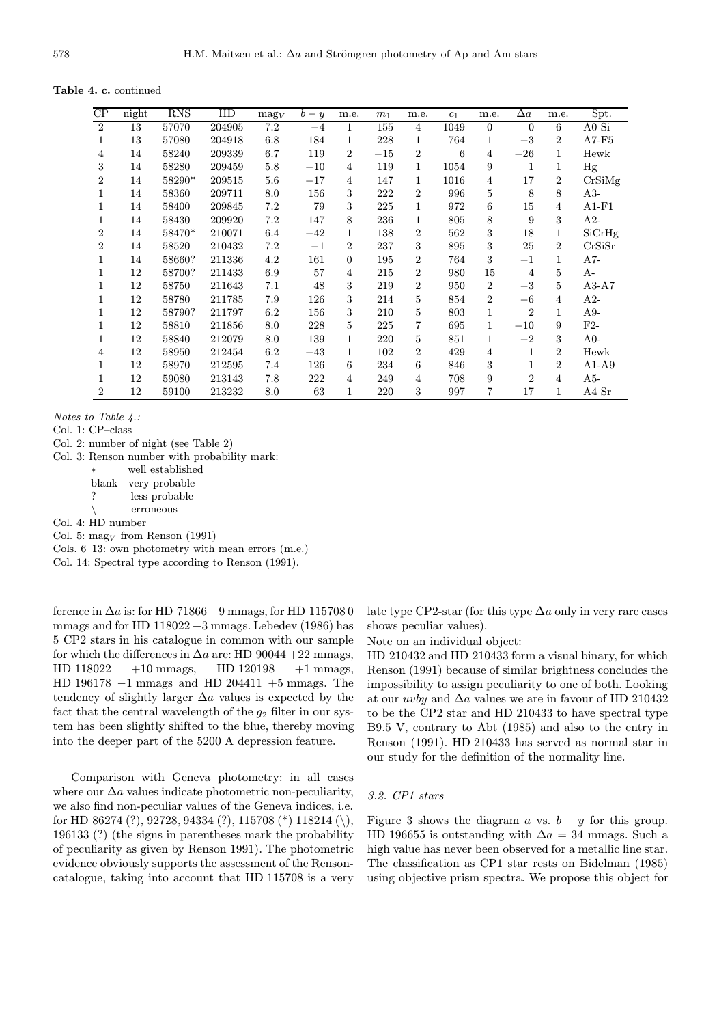Table 4. c. continued

| CP             | night | <b>RNS</b> | HD     | $\text{mag}_V$ | $b - y$ | m.e.           | m <sub>1</sub> | m.e.           | $c_1$ | m.e.           | $\Delta a$     | m.e.           | Spt.    |
|----------------|-------|------------|--------|----------------|---------|----------------|----------------|----------------|-------|----------------|----------------|----------------|---------|
| $\overline{2}$ | 13    | 57070      | 204905 | 7.2            | $-4$    | 1              | 155            | $\overline{4}$ | 1049  | $\mathbf{0}$   | $\Omega$       | 6              | A0 Si   |
| 1              | 13    | 57080      | 204918 | 6.8            | 184     | 1              | 228            | 1              | 764   | $\mathbf{1}$   | $-3$           | $\overline{2}$ | $A7-F5$ |
| 4              | 14    | 58240      | 209339 | 6.7            | 119     | 2              | $-15$          | $\overline{2}$ | 6     | 4              | $-26$          | 1              | Hewk    |
| 3              | 14    | 58280      | 209459 | 5.8            | $-10$   | 4              | 119            | 1              | 1054  | 9              | 1              | 1              | Hg      |
| $\overline{2}$ | 14    | 58290*     | 209515 | 5.6            | $-17$   | 4              | 147            | 1              | 1016  | 4              | 17             | $\overline{2}$ | CrSiMg  |
| 1              | 14    | 58360      | 209711 | 8.0            | 156     | 3              | 222            | $\overline{2}$ | 996   | 5              | 8              | 8              | $A3-$   |
| 1              | 14    | 58400      | 209845 | 7.2            | 79      | 3              | 225            | 1              | 972   | 6              | 15             | 4              | $A1-F1$ |
| 1              | 14    | 58430      | 209920 | 7.2            | 147     | 8              | 236            | 1              | 805   | 8              | 9              | 3              | $A2-$   |
| $\overline{2}$ | 14    | 58470*     | 210071 | 6.4            | $-42$   | 1              | 138            | $\overline{2}$ | 562   | 3              | 18             | 1              | SiCrHg  |
| $\overline{2}$ | 14    | 58520      | 210432 | 7.2            | $^{-1}$ | $\overline{2}$ | 237            | 3              | 895   | 3              | 25             | $\overline{2}$ | CrSiSr  |
| 1              | 14    | 58660?     | 211336 | 4.2            | 161     | $\overline{0}$ | 195            | $\overline{2}$ | 764   | 3              | $-1$           | 1              | $A7-$   |
| 1              | 12    | 58700?     | 211433 | 6.9            | 57      | 4              | 215            | $\overline{2}$ | 980   | 15             | $\overline{4}$ | 5              | A-      |
| 1              | 12    | 58750      | 211643 | 7.1            | 48      | 3              | 219            | $\overline{2}$ | 950   | $\overline{2}$ | $-3$           | 5              | $A3-A7$ |
|                | 12    | 58780      | 211785 | 7.9            | 126     | 3              | 214            | 5              | 854   | $\overline{2}$ | $-6$           | 4              | $A2-$   |
|                | 12    | 58790?     | 211797 | 6.2            | 156     | 3              | 210            | 5              | 803   | 1              | $\overline{2}$ | 1              | $A9-$   |
|                | 12    | 58810      | 211856 | 8.0            | 228     | 5              | 225            | 7              | 695   | 1              | $-10$          | 9              | $F2-$   |
|                | 12    | 58840      | 212079 | 8.0            | 139     | 1              | 220            | 5              | 851   | 1              | $-2$           | 3              | $A0-$   |
| 4              | 12    | 58950      | 212454 | 6.2            | $-43$   | 1              | 102            | $\overline{2}$ | 429   | 4              | 1              | $\overline{2}$ | Hewk    |
| 1              | 12    | 58970      | 212595 | 7.4            | 126     | 6              | 234            | 6              | 846   | 3              | 1              | $\overline{2}$ | $A1-A9$ |
| 1              | 12    | 59080      | 213143 | 7.8            | 222     | $\overline{4}$ | 249            | $\overline{4}$ | 708   | 9              | $\mathfrak{D}$ | 4              | $A5-$   |
| $\overline{2}$ | 12    | 59100      | 213232 | 8.0            | 63      | 1              | 220            | 3              | 997   | 7              | 17             | 1              | A4 Sr   |

Notes to Table 4.:

Col. 1: CP–class

Col. 2: number of night (see Table 2)

Col. 3: Renson number with probability mark:

| ж | well established    |
|---|---------------------|
|   | blank very probable |
| ? | less probable       |
|   | erroneous           |

Col. 4: HD number

Col. 5:  $\text{mag}_V$  from Renson (1991)

Cols. 6–13: own photometry with mean errors (m.e.)

Col. 14: Spectral type according to Renson (1991).

ference in  $\Delta a$  is: for HD 71866 +9 mmags, for HD 115708 0 mmags and for HD  $118022 + 3$  mmags. Lebedev (1986) has 5 CP2 stars in his catalogue in common with our sample for which the differences in  $\Delta a$  are: HD 90044 +22 mmags,  $HD 118022 +10 \text{ mmags}, \quad HD 120198 +1 \text{ mmags},$ HD 196178 −1 mmags and HD 204411 +5 mmags. The tendency of slightly larger  $\Delta a$  values is expected by the fact that the central wavelength of the  $g_2$  filter in our system has been slightly shifted to the blue, thereby moving into the deeper part of the 5200 A depression feature.

Comparison with Geneva photometry: in all cases where our  $\Delta a$  values indicate photometric non-peculiarity, we also find non-peculiar values of the Geneva indices, i.e. for HD 86274 (?), 92728, 94334 (?), 115708 (\*) 118214 (\), 196133 (?) (the signs in parentheses mark the probability of peculiarity as given by Renson 1991). The photometric evidence obviously supports the assessment of the Rensoncatalogue, taking into account that HD 115708 is a very late type CP2-star (for this type  $\Delta a$  only in very rare cases shows peculiar values).

Note on an individual object:

HD 210432 and HD 210433 form a visual binary, for which Renson (1991) because of similar brightness concludes the impossibility to assign peculiarity to one of both. Looking at our  $uvby$  and  $\Delta a$  values we are in favour of HD 210432 to be the CP2 star and HD 210433 to have spectral type B9.5 V, contrary to Abt (1985) and also to the entry in Renson (1991). HD 210433 has served as normal star in our study for the definition of the normality line.

#### 3.2. CP1 stars

Figure 3 shows the diagram a vs.  $b - y$  for this group. HD 196655 is outstanding with  $\Delta a = 34$  mmags. Such a high value has never been observed for a metallic line star. The classification as CP1 star rests on Bidelman (1985) using objective prism spectra. We propose this object for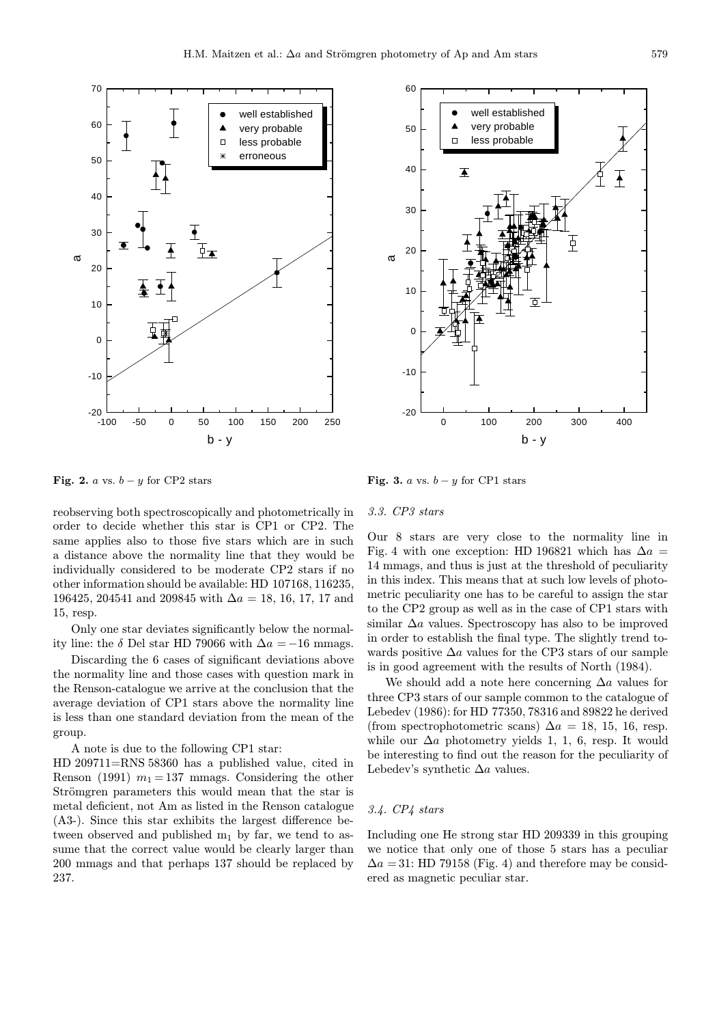



Fig. 2. a vs.  $b - y$  for CP2 stars

reobserving both spectroscopically and photometrically in order to decide whether this star is CP1 or CP2. The same applies also to those five stars which are in such a distance above the normality line that they would be individually considered to be moderate CP2 stars if no other information should be available: HD 107168, 116235, 196425, 204541 and 209845 with  $\Delta a = 18, 16, 17, 17$  and 15, resp.

Only one star deviates significantly below the normality line: the  $\delta$  Del star HD 79066 with  $\Delta a = -16$  mmags.

Discarding the 6 cases of significant deviations above the normality line and those cases with question mark in the Renson-catalogue we arrive at the conclusion that the average deviation of CP1 stars above the normality line is less than one standard deviation from the mean of the group.

A note is due to the following CP1 star:

HD 209711=RNS 58360 has a published value, cited in Renson (1991)  $m_1 = 137$  mmags. Considering the other Strömgren parameters this would mean that the star is metal deficient, not Am as listed in the Renson catalogue (A3-). Since this star exhibits the largest difference between observed and published  $m_1$  by far, we tend to assume that the correct value would be clearly larger than 200 mmags and that perhaps 137 should be replaced by 237.

Fig. 3. a vs.  $b - y$  for CP1 stars

#### 3.3. CP3 stars

Our 8 stars are very close to the normality line in Fig. 4 with one exception: HD 196821 which has  $\Delta a =$ 14 mmags, and thus is just at the threshold of peculiarity in this index. This means that at such low levels of photometric peculiarity one has to be careful to assign the star to the CP2 group as well as in the case of CP1 stars with similar  $\Delta a$  values. Spectroscopy has also to be improved in order to establish the final type. The slightly trend towards positive  $\Delta a$  values for the CP3 stars of our sample is in good agreement with the results of North (1984).

We should add a note here concerning  $\Delta a$  values for three CP3 stars of our sample common to the catalogue of Lebedev (1986): for HD 77350, 78316 and 89822 he derived (from spectrophotometric scans)  $\Delta a = 18, 15, 16$ , resp. while our  $\Delta a$  photometry yields 1, 1, 6, resp. It would be interesting to find out the reason for the peculiarity of Lebedev's synthetic  $\Delta a$  values.

#### 3.4. CP4 stars

Including one He strong star HD 209339 in this grouping we notice that only one of those 5 stars has a peculiar  $\Delta a = 31$ : HD 79158 (Fig. 4) and therefore may be considered as magnetic peculiar star.